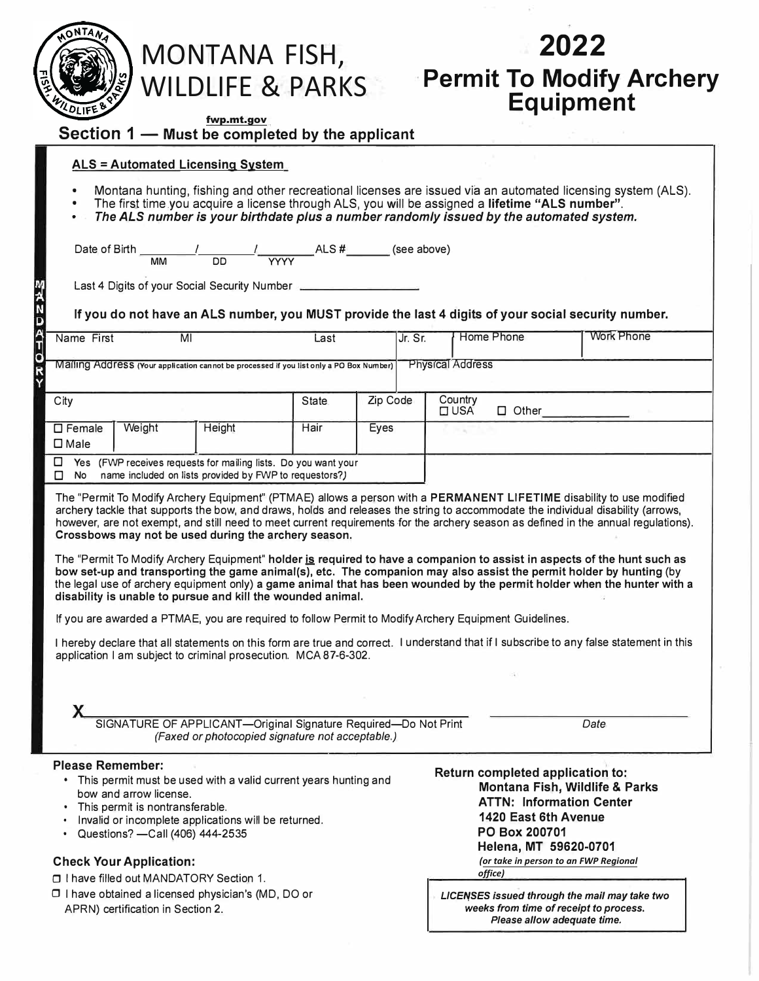| MONTANA FISH,<br><b>WILDLIFE &amp; PARKS</b><br>fwp.mt.gov<br>Section 1 – Must be completed by the applicant                                                                                                                                                                                    |              |          |         | 2022<br><b>Permit To Modify Archery</b><br><b>Equipment</b>                                                                                                                                                                                                                                                                                                                                                                                                                                                                                                                                                                                                                                                                                                                                                                                                                                                               |  |  |  |
|-------------------------------------------------------------------------------------------------------------------------------------------------------------------------------------------------------------------------------------------------------------------------------------------------|--------------|----------|---------|---------------------------------------------------------------------------------------------------------------------------------------------------------------------------------------------------------------------------------------------------------------------------------------------------------------------------------------------------------------------------------------------------------------------------------------------------------------------------------------------------------------------------------------------------------------------------------------------------------------------------------------------------------------------------------------------------------------------------------------------------------------------------------------------------------------------------------------------------------------------------------------------------------------------------|--|--|--|
| ALS = Automated Licensing System<br>٠                                                                                                                                                                                                                                                           |              |          |         | Montana hunting, fishing and other recreational licenses are issued via an automated licensing system (ALS).<br>The first time you acquire a license through ALS, you will be assigned a lifetime "ALS number".<br>The ALS number is your birthdate plus a number randomly issued by the automated system.                                                                                                                                                                                                                                                                                                                                                                                                                                                                                                                                                                                                                |  |  |  |
| Last 4 Digits of your Social Security Number<br>Name First<br>MI                                                                                                                                                                                                                                | Last         |          | Jr. Sr. | If you do not have an ALS number, you MUST provide the last 4 digits of your social security number.<br>Home Phone<br><b>Work Phone</b>                                                                                                                                                                                                                                                                                                                                                                                                                                                                                                                                                                                                                                                                                                                                                                                   |  |  |  |
| Mailing Address (Your application cannot be processed if you list only a PO Box Number)<br>City                                                                                                                                                                                                 | <b>State</b> | Zip Code |         | <b>Physical Address</b><br>Country<br><b>□ USA</b><br>$\Box$ Other                                                                                                                                                                                                                                                                                                                                                                                                                                                                                                                                                                                                                                                                                                                                                                                                                                                        |  |  |  |
| Height<br>$\square$ Female<br>Weight<br>$\square$ Male<br>□<br>Yes (FWP receives requests for mailing lists. Do you want your<br>name included on lists provided by FWP to requestors?)<br>□<br>No                                                                                              | Hair         | Eyes     |         |                                                                                                                                                                                                                                                                                                                                                                                                                                                                                                                                                                                                                                                                                                                                                                                                                                                                                                                           |  |  |  |
| Crossbows may not be used during the archery season.<br>disability is unable to pursue and kill the wounded animal.<br>If you are awarded a PTMAE, you are required to follow Permit to Modify Archery Equipment Guidelines.<br>application I am subject to criminal prosecution. MCA 87-6-302. |              |          |         | The "Permit To Modify Archery Equipment" (PTMAE) allows a person with a PERMANENT LIFETIME disability to use modified<br>archery tackle that supports the bow, and draws, holds and releases the string to accommodate the individual disability (arrows,<br>however, are not exempt, and still need to meet current requirements for the archery season as defined in the annual regulations).<br>The "Permit To Modify Archery Equipment" holder is required to have a companion to assist in aspects of the hunt such as<br>bow set-up and transporting the game animal(s), etc. The companion may also assist the permit holder by hunting (by<br>the legal use of archery equipment only) a game animal that has been wounded by the permit holder when the hunter with a<br>I hereby declare that all statements on this form are true and correct. I understand that if I subscribe to any false statement in this |  |  |  |
| SIGNATURE OF APPLICANT-Original Signature Required-Do Not Print<br>(Faxed or photocopied signature not acceptable.)                                                                                                                                                                             |              |          |         | Date                                                                                                                                                                                                                                                                                                                                                                                                                                                                                                                                                                                                                                                                                                                                                                                                                                                                                                                      |  |  |  |
| <b>Please Remember:</b><br>• This permit must be used with a valid current years hunting and<br>bow and arrow license.<br>• This permit is nontransferable.<br>Invalid or incomplete applications will be returned.<br>Questions? - Call (406) 444-2535<br>$\bullet$                            |              |          |         | Return completed application to:<br>Montana Fish, Wildlife & Parks<br><b>ATTN: Information Center</b><br>1420 East 6th Avenue<br>PO Box 200701                                                                                                                                                                                                                                                                                                                                                                                                                                                                                                                                                                                                                                                                                                                                                                            |  |  |  |
| <b>Check Your Application:</b><br>□ I have filled out MANDATORY Section 1.<br>□ I have obtained a licensed physician's (MD, DO or<br>APRN) certification in Section 2.                                                                                                                          |              |          |         | Helena, MT 59620-0701<br>(or take in person to an FWP Regional<br>office)<br>LICENSES issued through the mail may take two<br>weeks from time of receipt to process.                                                                                                                                                                                                                                                                                                                                                                                                                                                                                                                                                                                                                                                                                                                                                      |  |  |  |

*Please allow adequate time.*